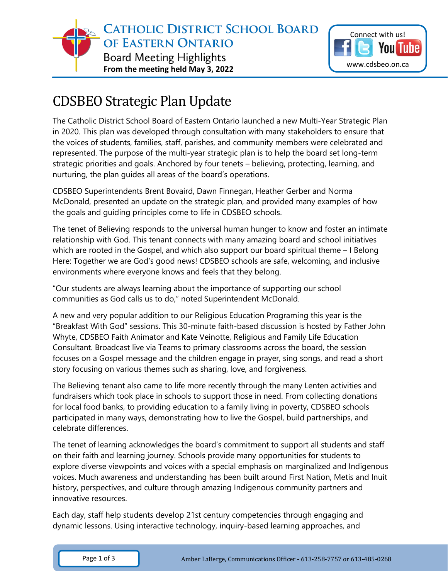



## CDSBEO Strategic Plan Update

The Catholic District School Board of Eastern Ontario launched a new Multi-Year Strategic Plan in 2020. This plan was developed through consultation with many stakeholders to ensure that the voices of students, families, staff, parishes, and community members were celebrated and represented. The purpose of the multi-year strategic plan is to help the board set long-term strategic priorities and goals. Anchored by four tenets – believing, protecting, learning, and nurturing, the plan guides all areas of the board's operations.

CDSBEO Superintendents Brent Bovaird, Dawn Finnegan, Heather Gerber and Norma McDonald, presented an update on the strategic plan, and provided many examples of how the goals and guiding principles come to life in CDSBEO schools.

The tenet of Believing responds to the universal human hunger to know and foster an intimate relationship with God. This tenant connects with many amazing board and school initiatives which are rooted in the Gospel, and which also support our board spiritual theme – I Belong Here: Together we are God's good news! CDSBEO schools are safe, welcoming, and inclusive environments where everyone knows and feels that they belong.

"Our students are always learning about the importance of supporting our school communities as God calls us to do," noted Superintendent McDonald.

A new and very popular addition to our Religious Education Programing this year is the "Breakfast With God" sessions. This 30-minute faith-based discussion is hosted by Father John Whyte, CDSBEO Faith Animator and Kate Veinotte, Religious and Family Life Education Consultant. Broadcast live via Teams to primary classrooms across the board, the session focuses on a Gospel message and the children engage in prayer, sing songs, and read a short story focusing on various themes such as sharing, love, and forgiveness.

The Believing tenant also came to life more recently through the many Lenten activities and fundraisers which took place in schools to support those in need. From collecting donations for local food banks, to providing education to a family living in poverty, CDSBEO schools participated in many ways, demonstrating how to live the Gospel, build partnerships, and celebrate differences.

The tenet of learning acknowledges the board's commitment to support all students and staff on their faith and learning journey. Schools provide many opportunities for students to explore diverse viewpoints and voices with a special emphasis on marginalized and Indigenous voices. Much awareness and understanding has been built around First Nation, Metis and Inuit history, perspectives, and culture through amazing Indigenous community partners and innovative resources.

Each day, staff help students develop 21st century competencies through engaging and dynamic lessons. Using interactive technology, inquiry-based learning approaches, and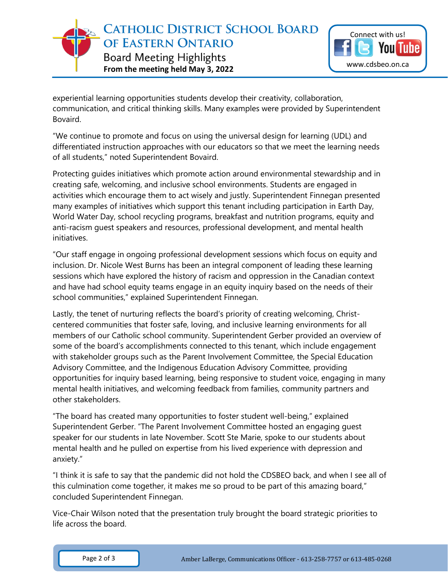**CATHOLIC DISTRICT SCHOOL BOARD** OF EASTERN ONTARIO **Board Meeting Highlights From the meeting held May 3, 2022**



experiential learning opportunities students develop their creativity, collaboration, communication, and critical thinking skills. Many examples were provided by Superintendent Bovaird.

"We continue to promote and focus on using the universal design for learning (UDL) and differentiated instruction approaches with our educators so that we meet the learning needs of all students," noted Superintendent Bovaird.

Protecting guides initiatives which promote action around environmental stewardship and in creating safe, welcoming, and inclusive school environments. Students are engaged in activities which encourage them to act wisely and justly. Superintendent Finnegan presented many examples of initiatives which support this tenant including participation in Earth Day, World Water Day, school recycling programs, breakfast and nutrition programs, equity and anti-racism guest speakers and resources, professional development, and mental health initiatives.

"Our staff engage in ongoing professional development sessions which focus on equity and inclusion. Dr. Nicole West Burns has been an integral component of leading these learning sessions which have explored the history of racism and oppression in the Canadian context and have had school equity teams engage in an equity inquiry based on the needs of their school communities," explained Superintendent Finnegan.

Lastly, the tenet of nurturing reflects the board's priority of creating welcoming, Christcentered communities that foster safe, loving, and inclusive learning environments for all members of our Catholic school community. Superintendent Gerber provided an overview of some of the board's accomplishments connected to this tenant, which include engagement with stakeholder groups such as the Parent Involvement Committee, the Special Education Advisory Committee, and the Indigenous Education Advisory Committee, providing opportunities for inquiry based learning, being responsive to student voice, engaging in many mental health initiatives, and welcoming feedback from families, community partners and other stakeholders.

"The board has created many opportunities to foster student well-being," explained Superintendent Gerber. "The Parent Involvement Committee hosted an engaging guest speaker for our students in late November. Scott Ste Marie, spoke to our students about mental health and he pulled on expertise from his lived experience with depression and anxiety."

"I think it is safe to say that the pandemic did not hold the CDSBEO back, and when I see all of this culmination come together, it makes me so proud to be part of this amazing board," concluded Superintendent Finnegan.

Vice-Chair Wilson noted that the presentation truly brought the board strategic priorities to life across the board.